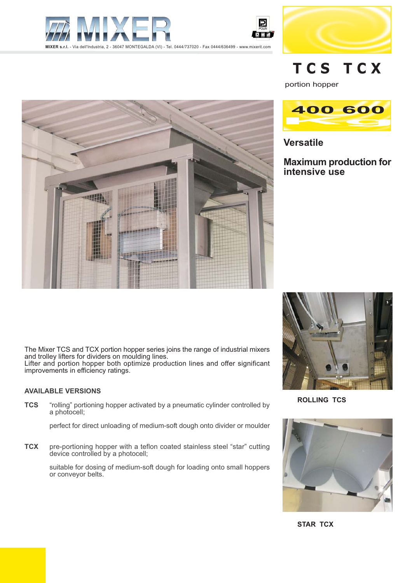





# TCS TCX

portion hopper



**Versatile** 

**Maximum production for** intensive use





**ROLLING TCS** 



**STAR TCX** 

The Mixer TCS and TCX portion hopper series joins the range of industrial mixers and trolley lifters for dividers on moulding lines. Lifter and portion hopper both optimize production lines and offer significant<br>improvements in efficiency ratings.

### **AVAILABLE VERSIONS**

**TCS** "rolling" portioning hopper activated by a pneumatic cylinder controlled by a photocell;

perfect for direct unloading of medium-soft dough onto divider or moulder

pre-portioning hopper with a teflon coated stainless steel "star" cutting **TCX** device controlled by a photocell;

> suitable for dosing of medium-soft dough for loading onto small hoppers or convevor belts.